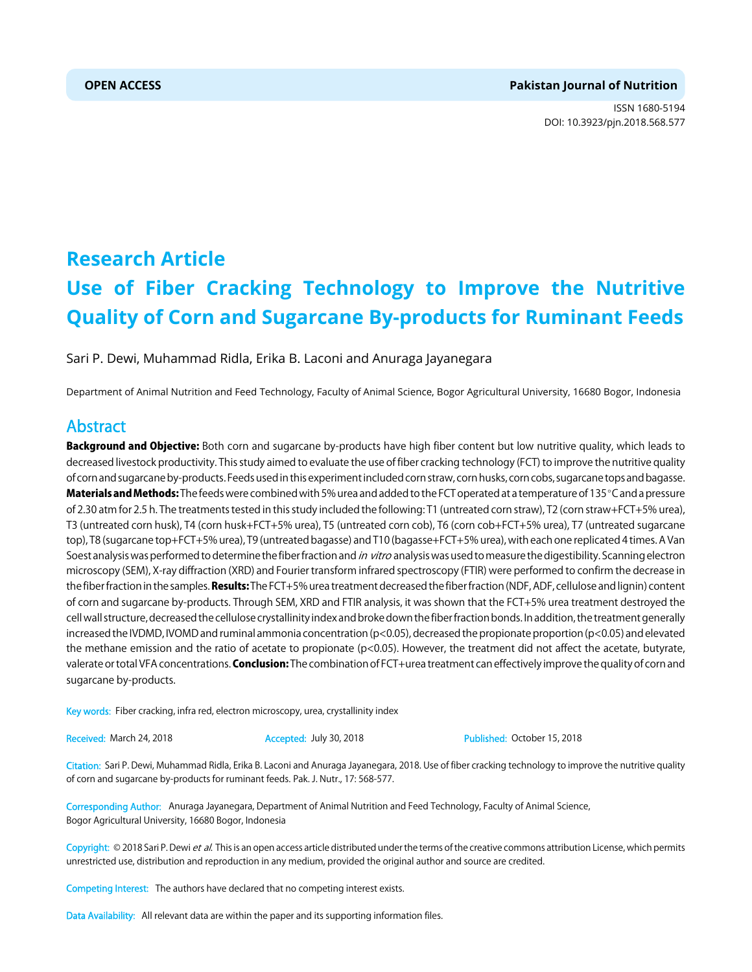# **OPEN ACCESS Pakistan Journal of Nutrition**

ISSN 1680-5194 DOI: 10.3923/pjn.2018.568.577



# **Research Article Use of Fiber Cracking Technology to Improve the Nutritive Quality of Corn and Sugarcane By-products for Ruminant Feeds**

Sari P. Dewi, Muhammad Ridla, Erika B. Laconi and Anuraga Jayanegara

Department of Animal Nutrition and Feed Technology, Faculty of Animal Science, Bogor Agricultural University, 16680 Bogor, Indonesia

# Abstract

Background and Objective: Both corn and sugarcane by-products have high fiber content but low nutritive quality, which leads to decreased livestock productivity. This study aimed to evaluate the use of fiber cracking technology (FCT) to improve the nutritive quality of corn and sugarcane by-products. Feeds used in this experiment included corn straw, corn husks, corn cobs, sugarcane tops and bagasse. Materials and Methods: The feeds were combined with 5% urea and added to the FCT operated at a temperature of 135°C and a pressure of 2.30 atm for 2.5 h. The treatments tested in this study included the following: T1 (untreated corn straw), T2 (corn straw+FCT+5% urea), T3 (untreated corn husk), T4 (corn husk+FCT+5% urea), T5 (untreated corn cob), T6 (corn cob+FCT+5% urea), T7 (untreated sugarcane top), T8 (sugarcane top+FCT+5% urea), T9 (untreated bagasse) and T10 (bagasse+FCT+5% urea), with each one replicated 4 times. A Van Soest analysis was performed to determine the fiber fraction and in vitro analysis was used to measure the digestibility. Scanning electron microscopy (SEM), X-ray diffraction (XRD) and Fourier transform infrared spectroscopy (FTIR) were performed to confirm the decrease in the fiber fraction in the samples. Results: The FCT+5% urea treatment decreased the fiber fraction (NDF, ADF, cellulose and lignin) content of corn and sugarcane by-products. Through SEM, XRD and FTIR analysis, it was shown that the FCT+5% urea treatment destroyed the cell wall structure, decreased the cellulose crystallinity index and broke down the fiber fraction bonds. In addition, the treatment generally increased the IVDMD, IVOMD and ruminal ammonia concentration (p<0.05), decreased the propionate proportion (p<0.05) and elevated the methane emission and the ratio of acetate to propionate (p<0.05). However, the treatment did not affect the acetate, butyrate, valerate or total VFA concentrations. **Conclusion:** The combination of FCT+urea treatment can effectively improve the quality of corn and sugarcane by-products.

Key words: Fiber cracking, infra red, electron microscopy, urea, crystallinity index

Received: March 24, 2018 **Accepted: Huly 30, 2018** Published: October 15, 2018

Citation: Sari P. Dewi, Muhammad Ridla, Erika B. Laconi and Anuraga Jayanegara, 2018. Use of fiber cracking technology to improve the nutritive quality of corn and sugarcane by-products for ruminant feeds. Pak. J. Nutr., 17: 568-577.

Corresponding Author: Anuraga Jayanegara, Department of Animal Nutrition and Feed Technology, Faculty of Animal Science, Bogor Agricultural University, 16680 Bogor, Indonesia

Copyright: © 2018 Sari P. Dewi et al. This is an open access article distributed under the terms of the creative commons attribution License, which permits unrestricted use, distribution and reproduction in any medium, provided the original author and source are credited.

Competing Interest: The authors have declared that no competing interest exists.

Data Availability: All relevant data are within the paper and its supporting information files.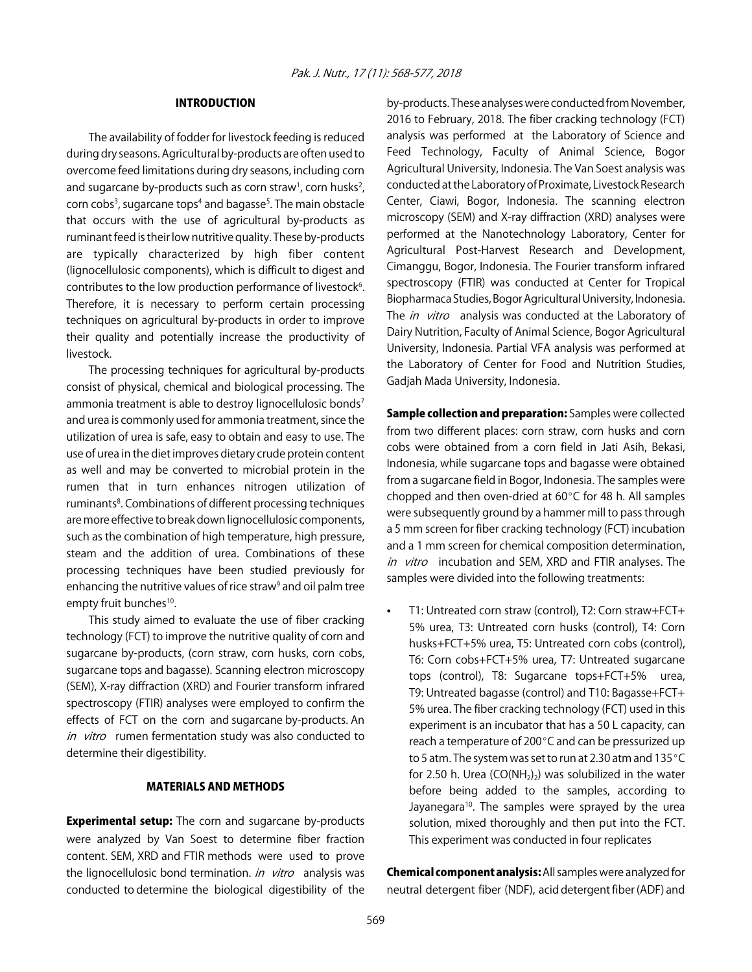### INTRODUCTION

The availability of fodder for livestock feeding is reduced during dry seasons. Agricultural by-products are often used to overcome feed limitations during dry seasons, including corn and sugarcane by-products such as corn straw<sup>1</sup>, corn husks<sup>2</sup>, corn cobs<sup>3</sup>, sugarcane tops<sup>4</sup> and bagasse<sup>5</sup>. The main obstacle that occurs with the use of agricultural by-products as ruminant feed is their low nutritive quality. These by-products are typically characterized by high fiber content (lignocellulosic components), which is difficult to digest and contributes to the low production performance of livestock<sup>6</sup>. Therefore, it is necessary to perform certain processing techniques on agricultural by-products in order to improve their quality and potentially increase the productivity of livestock.

The processing techniques for agricultural by-products consist of physical, chemical and biological processing. The ammonia treatment is able to destroy lignocellulosic bonds<sup>7</sup> and urea is commonly used for ammonia treatment, since the utilization of urea is safe, easy to obtain and easy to use. The use of urea in the diet improves dietary crude protein content as well and may be converted to microbial protein in the rumen that in turn enhances nitrogen utilization of ruminants<sup>8</sup>. Combinations of different processing techniques are more effective to break down lignocellulosic components, such as the combination of high temperature, high pressure, steam and the addition of urea. Combinations of these processing techniques have been studied previously for enhancing the nutritive values of rice straw<sup>9</sup> and oil palm tree empty fruit bunches<sup>10</sup>.

This study aimed to evaluate the use of fiber cracking technology (FCT) to improve the nutritive quality of corn and sugarcane by-products, (corn straw, corn husks, corn cobs, sugarcane tops and bagasse). Scanning electron microscopy (SEM), X-ray diffraction (XRD) and Fourier transform infrared spectroscopy (FTIR) analyses were employed to confirm the effects of FCT on the corn and sugarcane by-products. An in vitro rumen fermentation study was also conducted to determine their digestibility.

#### MATERIALS AND METHODS

**Experimental setup:** The corn and sugarcane by-products were analyzed by Van Soest to determine fiber fraction content. SEM, XRD and FTIR methods were used to prove the lignocellulosic bond termination. in vitro analysis was conducted to determine the biological digestibility of the

by-products. These analyses were conducted from November, 2016 to February, 2018. The fiber cracking technology (FCT) analysis was performed at the Laboratory of Science and Feed Technology, Faculty of Animal Science, Bogor Agricultural University, Indonesia. The Van Soest analysis was conducted at the Laboratory of Proximate, Livestock Research Center, Ciawi, Bogor, Indonesia. The scanning electron microscopy (SEM) and X-ray diffraction (XRD) analyses were performed at the Nanotechnology Laboratory, Center for Agricultural Post-Harvest Research and Development, Cimanggu, Bogor, Indonesia. The Fourier transform infrared spectroscopy (FTIR) was conducted at Center for Tropical Biopharmaca Studies, Bogor Agricultural University, Indonesia. The *in vitro* analysis was conducted at the Laboratory of Dairy Nutrition, Faculty of Animal Science, Bogor Agricultural University, Indonesia. Partial VFA analysis was performed at the Laboratory of Center for Food and Nutrition Studies, Gadjah Mada University, Indonesia.

Sample collection and preparation: Samples were collected from two different places: corn straw, corn husks and corn cobs were obtained from a corn field in Jati Asih, Bekasi, Indonesia, while sugarcane tops and bagasse were obtained from a sugarcane field in Bogor, Indonesia. The samples were chopped and then oven-dried at  $60^{\circ}$ C for 48 h. All samples were subsequently ground by a hammer mill to pass through a 5 mm screen for fiber cracking technology (FCT) incubation and a 1 mm screen for chemical composition determination, in vitro incubation and SEM, XRD and FTIR analyses. The samples were divided into the following treatments:

T1: Untreated corn straw (control), T2: Corn straw+FCT+ 5% urea, T3: Untreated corn husks (control), T4: Corn husks+FCT+5% urea, T5: Untreated corn cobs (control), T6: Corn cobs+FCT+5% urea, T7: Untreated sugarcane tops (control), T8: Sugarcane tops+FCT+5% urea, T9: Untreated bagasse (control) and T10: Bagasse+FCT+ 5% urea. The fiber cracking technology (FCT) used in this experiment is an incubator that has a 50 L capacity, can reach a temperature of 200°C and can be pressurized up to 5 atm. The system was set to run at 2.30 atm and 135 $^{\circ}$ C for 2.50 h. Urea  $(CO(NH_2))$  was solubilized in the water before being added to the samples, according to Jayanegara<sup>10</sup>. The samples were sprayed by the urea solution, mixed thoroughly and then put into the FCT. This experiment was conducted in four replicates

Chemical component analysis: All samples were analyzed for neutral detergent fiber (NDF), acid detergent fiber (ADF) and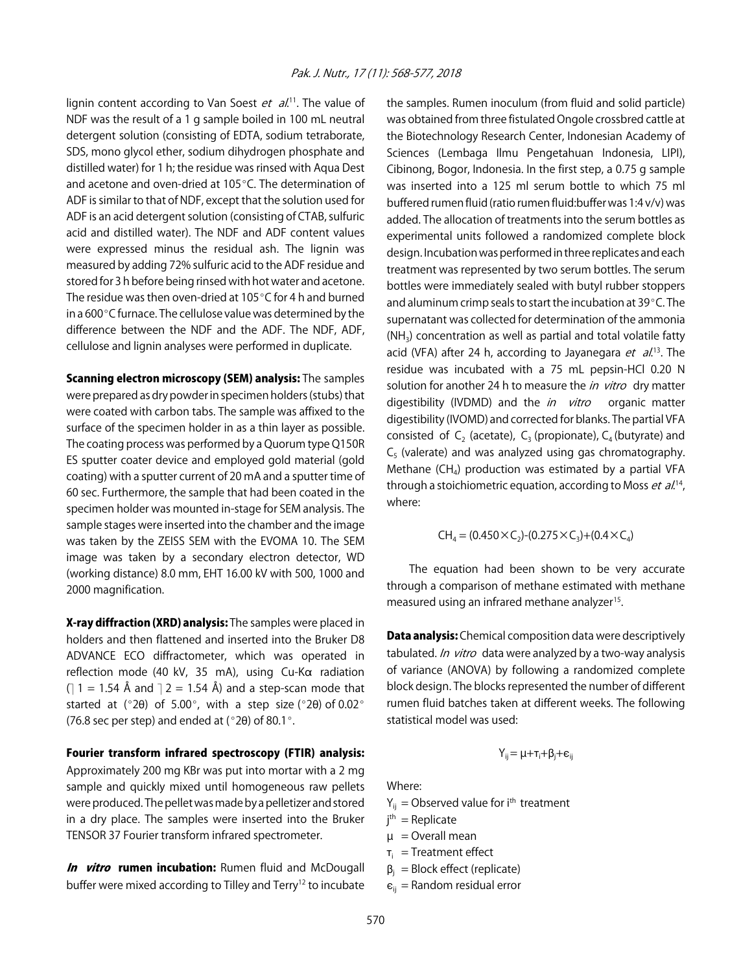lignin content according to Van Soest et al.<sup>11</sup>. The value of NDF was the result of a 1 g sample boiled in 100 mL neutral detergent solution (consisting of EDTA, sodium tetraborate, SDS, mono glycol ether, sodium dihydrogen phosphate and distilled water) for 1 h; the residue was rinsed with Aqua Dest and acetone and oven-dried at  $105^{\circ}$ C. The determination of ADF is similar to that of NDF, except that the solution used for ADF is an acid detergent solution (consisting of CTAB, sulfuric acid and distilled water). The NDF and ADF content values were expressed minus the residual ash. The lignin was measured by adding 72% sulfuric acid to the ADF residue and stored for 3 h before being rinsed with hot water and acetone. The residue was then oven-dried at 105 $\degree$ C for 4 h and burned in a 600 $\degree$ C furnace. The cellulose value was determined by the difference between the NDF and the ADF. The NDF, ADF, cellulose and lignin analyses were performed in duplicate.

Scanning electron microscopy (SEM) analysis: The samples were prepared as dry powder in specimen holders (stubs) that were coated with carbon tabs. The sample was affixed to the surface of the specimen holder in as a thin layer as possible. The coating process was performed by a Quorum type Q150R ES sputter coater device and employed gold material (gold coating) with a sputter current of 20 mA and a sputter time of 60 sec. Furthermore, the sample that had been coated in the specimen holder was mounted in-stage for SEM analysis. The sample stages were inserted into the chamber and the image was taken by the ZEISS SEM with the EVOMA 10. The SEM image was taken by a secondary electron detector, WD (working distance) 8.0 mm, EHT 16.00 kV with 500, 1000 and 2000 magnification.

X-ray diffraction (XRD) analysis: The samples were placed in holders and then flattened and inserted into the Bruker D8 ADVANCE ECO diffractometer, which was operated in reflection mode (40 kV, 35 mA), using  $Cu-K\alpha$  radiation  $($ ] 1 = 1.54 Å and  $]$  2 = 1.54 Å) and a step-scan mode that started at (°20) of 5.00°, with a step size (°20) of 0.02° (76.8 sec per step) and ended at ( $°2\theta$ ) of 80.1 $^{\circ}$ .

Fourier transform infrared spectroscopy (FTIR) analysis:

Approximately 200 mg KBr was put into mortar with a 2 mg sample and quickly mixed until homogeneous raw pellets were produced. The pellet was made by a pelletizer and stored in a dry place. The samples were inserted into the Bruker TENSOR 37 Fourier transform infrared spectrometer.

In vitro rumen incubation: Rumen fluid and McDougall buffer were mixed according to Tilley and Terry<sup>12</sup> to incubate

the samples. Rumen inoculum (from fluid and solid particle) was obtained from three fistulated Ongole crossbred cattle at the Biotechnology Research Center, Indonesian Academy of Sciences (Lembaga Ilmu Pengetahuan Indonesia, LIPI), Cibinong, Bogor, Indonesia. In the first step, a 0.75 g sample was inserted into a 125 ml serum bottle to which 75 ml buffered rumen fluid (ratio rumen fluid:buffer was 1:4 v/v) was added. The allocation of treatments into the serum bottles as experimental units followed a randomized complete block design. Incubation was performed in three replicates and each treatment was represented by two serum bottles. The serum bottles were immediately sealed with butyl rubber stoppers and aluminum crimp seals to start the incubation at  $39^{\circ}$ C. The supernatant was collected for determination of the ammonia  $(NH<sub>3</sub>)$  concentration as well as partial and total volatile fatty acid (VFA) after 24 h, according to Jayanegara *et al.*<sup>13</sup>. The residue was incubated with a 75 mL pepsin-HCl 0.20 N solution for another 24 h to measure the in vitro dry matter digestibility (IVDMD) and the *in vitro* organic matter digestibility (IVOMD) and corrected for blanks. The partial VFA consisted of C<sub>2</sub> (acetate), C<sub>3</sub> (propionate), C<sub>4</sub> (butyrate) and  $C_5$  (valerate) and was analyzed using gas chromatography. Methane ( $CH<sub>4</sub>$ ) production was estimated by a partial VFA through a stoichiometric equation, according to Moss *et al.*<sup>14</sup>, where:

$$
CH_4 = (0.450 \times C_2) \cdot (0.275 \times C_3) \cdot (0.4 \times C_4)
$$

The equation had been shown to be very accurate through a comparison of methane estimated with methane measured using an infrared methane analyzer<sup>15</sup>.

**Data analysis:** Chemical composition data were descriptively tabulated. In vitro data were analyzed by a two-way analysis of variance (ANOVA) by following a randomized complete block design. The blocks represented the number of different rumen fluid batches taken at different weeks. The following statistical model was used:

$$
Y_{ij} = \mu + \tau_i + \beta_j + \varepsilon_{ij}
$$

Where:

 $Y_{ij}$  = Observed value for i<sup>th</sup> treatment

- j th = Replicate
- $\mu$  = Overall mean
- $\tau_i$  = Treatment effect
- $\beta_i$  = Block effect (replicate)
- $\varepsilon_{ii}$  = Random residual error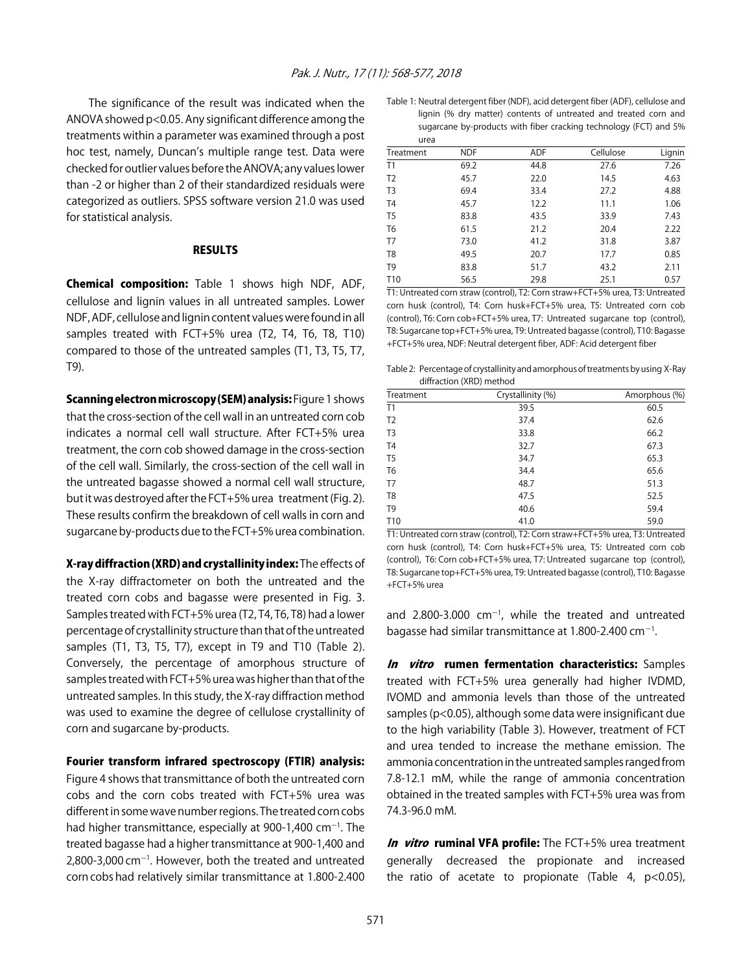The significance of the result was indicated when the ANOVA showed p<0.05. Any significant difference among the treatments within a parameter was examined through a post hoc test, namely, Duncan's multiple range test. Data were checked for outlier values before the ANOVA; any values lower than -2 or higher than 2 of their standardized residuals were categorized as outliers. SPSS software version 21.0 was used for statistical analysis.

#### RESULTS

Chemical composition: Table 1 shows high NDF, ADF, cellulose and lignin values in all untreated samples. Lower NDF, ADF, cellulose and lignin content values were found in all samples treated with FCT+5% urea (T2, T4, T6, T8, T10) compared to those of the untreated samples (T1, T3, T5, T7, T9).

Scanning electron microscopy (SEM) analysis: Figure 1 shows that the cross-section of the cell wall in an untreated corn cob indicates a normal cell wall structure. After FCT+5% urea treatment, the corn cob showed damage in the cross-section of the cell wall. Similarly, the cross-section of the cell wall in the untreated bagasse showed a normal cell wall structure, but it was destroyed after the FCT+5% urea treatment (Fig. 2). These results confirm the breakdown of cell walls in corn and sugarcane by-products due to the FCT+5% urea combination.

X-ray diffraction (XRD) and crystallinity index: The effects of the X-ray diffractometer on both the untreated and the treated corn cobs and bagasse were presented in Fig. 3. Samples treated with FCT+5% urea (T2, T4, T6, T8) had a lower percentage of crystallinity structure than that of the untreated samples (T1, T3, T5, T7), except in T9 and T10 (Table 2). Conversely, the percentage of amorphous structure of samples treated with FCT+5% urea was higher than that of the untreated samples. In this study, the X-ray diffraction method was used to examine the degree of cellulose crystallinity of corn and sugarcane by-products.

#### Fourier transform infrared spectroscopy (FTIR) analysis:

Figure 4 shows that transmittance of both the untreated corn cobs and the corn cobs treated with FCT+5% urea was different in some wave number regions. The treated corn cobs had higher transmittance, especially at 900-1,400  $cm^{-1}$ . The treated bagasse had a higher transmittance at 900-1,400 and  $2,800$ -3,000 cm $^{-1}$ . However, both the treated and untreated corn cobs had relatively similar transmittance at 1.800-2.400

| Table 1: Neutral detergent fiber (NDF), acid detergent fiber (ADF), cellulose and |
|-----------------------------------------------------------------------------------|
| lignin (% dry matter) contents of untreated and treated corn and                  |
| sugarcane by-products with fiber cracking technology (FCT) and 5%                 |
| urea                                                                              |

| ulu             |            |            |           |        |
|-----------------|------------|------------|-----------|--------|
| Treatment       | <b>NDF</b> | <b>ADF</b> | Cellulose | Lignin |
| T1              | 69.2       | 44.8       | 27.6      | 7.26   |
| T <sub>2</sub>  | 45.7       | 22.0       | 14.5      | 4.63   |
| T <sub>3</sub>  | 69.4       | 33.4       | 27.2      | 4.88   |
| T <sub>4</sub>  | 45.7       | 12.2       | 11.1      | 1.06   |
| T <sub>5</sub>  | 83.8       | 43.5       | 33.9      | 7.43   |
| T <sub>6</sub>  | 61.5       | 21.2       | 20.4      | 2.22   |
| T <sub>7</sub>  | 73.0       | 41.2       | 31.8      | 3.87   |
| T <sub>8</sub>  | 49.5       | 20.7       | 17.7      | 0.85   |
| T <sub>9</sub>  | 83.8       | 51.7       | 43.2      | 2.11   |
| T <sub>10</sub> | 56.5       | 29.8       | 25.1      | 0.57   |
|                 |            |            |           |        |

T1: Untreated corn straw (control), T2: Corn straw+FCT+5% urea, T3: Untreated corn husk (control), T4: Corn husk+FCT+5% urea, T5: Untreated corn cob (control), T6: Corn cob+FCT+5% urea, T7: Untreated sugarcane top (control), T8: Sugarcane top+FCT+5% urea, T9: Untreated bagasse (control), T10: Bagasse +FCT+5% urea, NDF: Neutral detergent fiber, ADF: Acid detergent fiber

Table 2: Percentage of crystallinity and amorphous of treatments by using X-Ray diffraction (XRD) method

| Treatment       | Crystallinity (%) | Amorphous (%) |  |  |  |
|-----------------|-------------------|---------------|--|--|--|
| T1              | 39.5              | 60.5          |  |  |  |
| T <sub>2</sub>  | 37.4              | 62.6          |  |  |  |
| T <sub>3</sub>  | 33.8              | 66.2          |  |  |  |
| T <sub>4</sub>  | 32.7              | 67.3          |  |  |  |
| T <sub>5</sub>  | 34.7              | 65.3          |  |  |  |
| T <sub>6</sub>  | 34.4              | 65.6          |  |  |  |
| T <sub>7</sub>  | 48.7              | 51.3          |  |  |  |
| T <sub>8</sub>  | 47.5              | 52.5          |  |  |  |
| T <sub>9</sub>  | 40.6              | 59.4          |  |  |  |
| T <sub>10</sub> | 41.0              | 59.0          |  |  |  |

T1: Untreated corn straw (control), T2: Corn straw+FCT+5% urea, T3: Untreated corn husk (control), T4: Corn husk+FCT+5% urea, T5: Untreated corn cob (control), T6: Corn cob+FCT+5% urea, T7: Untreated sugarcane top (control), T8: Sugarcane top+FCT+5% urea, T9: Untreated bagasse (control), T10: Bagasse +FCT+5% urea

and 2.800-3.000  $cm^{-1}$ , while the treated and untreated bagasse had similar transmittance at 1.800-2.400 cm $^{-1}$ .

In vitro rumen fermentation characteristics: Samples treated with FCT+5% urea generally had higher IVDMD, IVOMD and ammonia levels than those of the untreated samples (p<0.05), although some data were insignificant due to the high variability (Table 3). However, treatment of FCT and urea tended to increase the methane emission. The ammonia concentration in the untreated samples ranged from 7.8-12.1 mM, while the range of ammonia concentration obtained in the treated samples with FCT+5% urea was from 74.3-96.0 mM.

In vitro ruminal VFA profile: The FCT+5% urea treatment generally decreased the propionate and increased the ratio of acetate to propionate (Table 4,  $p$ <0.05),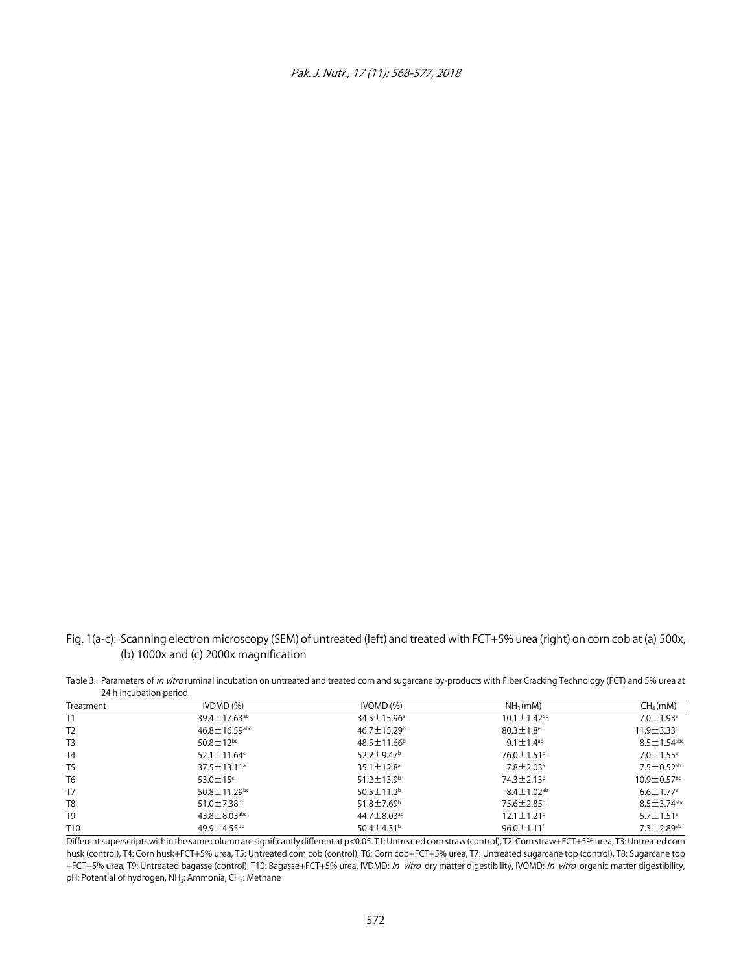

Fig. 1(a-c): Scanning electron microscopy (SEM) of untreated (left) and treated with FCT+5% urea (right) on corn cob at (a) 500x, (b) 1000x and (c) 2000x magnification

Table 3: Parameters of in vitro ruminal incubation on untreated and treated corn and sugarcane by-products with Fiber Cracking Technology (FCT) and 5% urea at 24 h incubation period

| Treatment       | IVDMD(%)                        | IVOMD <sub>(</sub> %)         | NH <sub>3</sub> (mM)          | CH <sub>4</sub> (mM)          |
|-----------------|---------------------------------|-------------------------------|-------------------------------|-------------------------------|
| T1              | $39.4 \pm 17.63^{ab}$           | $34.5 \pm 15.96^{\circ}$      | $10.1 \pm 1.42$ <sup>bc</sup> | $7.0 \pm 1.93$ <sup>a</sup>   |
| T <sub>2</sub>  | $46.8 \pm 16.59$ <sup>abc</sup> | $46.7 \pm 15.29^{\circ}$      | $80.3 \pm 1.8$ <sup>e</sup>   | $11.9 \pm 3.33$ c             |
| T <sub>3</sub>  | $50.8 \pm 12^{bc}$              | $48.5 \pm 11.66^{\circ}$      | $9.1 \pm 1.4$ <sup>ab</sup>   | $8.5 \pm 1.54$ <sup>abc</sup> |
| T <sub>4</sub>  | 52.1 $\pm$ 11.64 $\textdegree$  | $52.2 \pm 9.47$ <sup>b</sup>  | $76.0 \pm 1.51$ <sup>d</sup>  | $7.0 \pm 1.55$ <sup>a</sup>   |
| T <sub>5</sub>  | $37.5 \pm 13.11^a$              | $35.1 \pm 12.8^{\circ}$       | $7.8 \pm 2.03$ <sup>a</sup>   | $7.5 \pm 0.52$ <sup>ab</sup>  |
| T <sub>6</sub>  | $53.0 \pm 15$ <sup>c</sup>      | $51.2 \pm 13.9^{\circ}$       | $74.3 \pm 2.13$ <sup>d</sup>  | $10.9 \pm 0.57$ <sup>bc</sup> |
| T7              | $50.8 \pm 11.29$ <sup>bc</sup>  | $50.5 \pm 11.2$ <sup>b</sup>  | $8.4 \pm 1.02^{ab}$           | $6.6 \pm 1.77$ <sup>a</sup>   |
| T <sub>8</sub>  | $51.0 \pm 7.38$ bc              | $51.8 \pm 7.69^{\circ}$       | 75.6±2.85 <sup>d</sup>        | $8.5 \pm 3.74$ <sup>abc</sup> |
| T <sub>9</sub>  | $43.8 \pm 8.03$ <sup>abc</sup>  | 44.7 $\pm$ 8.03 <sup>ab</sup> | $12.1 \pm 1.21$ <sup>c</sup>  | $5.7 \pm 1.51$ <sup>a</sup>   |
| T <sub>10</sub> | $49.9 \pm 4.55$ <sup>bc</sup>   | $50.4 \pm 4.31$ <sup>b</sup>  | $96.0 \pm 1.11$ <sup>f</sup>  | $7.3 \pm 2.89$ <sup>ab</sup>  |

Different superscripts within the same column are significantly different at p<0.05. T1: Untreated corn straw (control), T2: Corn straw+FCT+5% urea, T3: Untreated corn husk (control), T4: Corn husk+FCT+5% urea, T5: Untreated corn cob (control), T6: Corn cob+FCT+5% urea, T7: Untreated sugarcane top (control), T8: Sugarcane top +FCT+5% urea, T9: Untreated bagasse (control), T10: Bagasse+FCT+5% urea, IVDMD: In vitro dry matter digestibility, IVOMD: In vitro organic matter digestibility, pH: Potential of hydrogen, NH<sub>3</sub>: Ammonia, CH<sub>4</sub>: Methane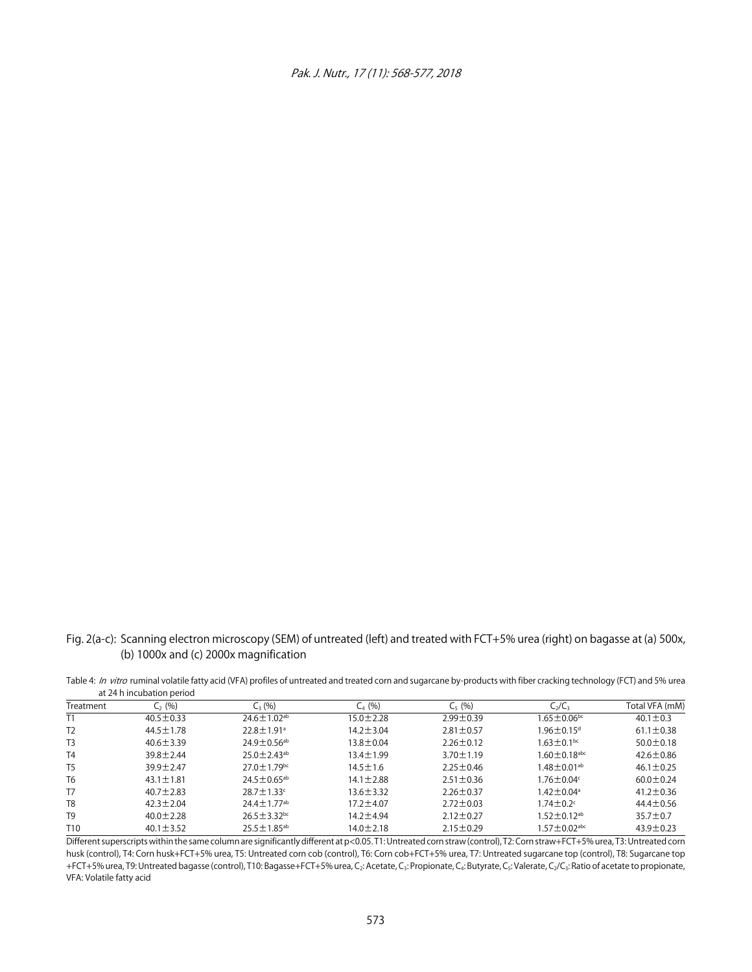

Fig. 2(a-c): Scanning electron microscopy (SEM) of untreated (left) and treated with FCT+5% urea (right) on bagasse at (a) 500x, (b) 1000x and (c) 2000x magnification

Table 4: In vitro ruminal volatile fatty acid (VFA) profiles of untreated and treated corn and sugarcane by-products with fiber cracking technology (FCT) and 5% urea at 24 h incubation period

| Treatment       | $C_2$ (%)       | $C_{3}$ (%)                   | $C_{4}$ (%)     | $C_5(%)$        | $C_2/C_3$                    | Total VFA (mM)  |
|-----------------|-----------------|-------------------------------|-----------------|-----------------|------------------------------|-----------------|
|                 | $40.5 \pm 0.33$ | $24.6 \pm 1.02$ <sup>ab</sup> | 15.0±2.28       | $2.99 \pm 0.39$ | $1.65 \pm 0.06$ bc           | $40.1 \pm 0.3$  |
| T <sub>2</sub>  | $44.5 \pm 1.78$ | $22.8 \pm 1.91$ <sup>a</sup>  | $14.2 \pm 3.04$ | $2.81 \pm 0.57$ | $1.96\pm0.15^{\mathrm{d}}$   | $61.1 \pm 0.38$ |
| T <sub>3</sub>  | $40.6 \pm 3.39$ | $24.9 \pm 0.56$ <sup>ab</sup> | $13.8 \pm 0.04$ | $2.26 \pm 0.12$ | $1.63 \pm 0.1$ bc            | $50.0 \pm 0.18$ |
| T <sub>4</sub>  | $39.8 \pm 2.44$ | $25.0 \pm 2.43$ <sup>ab</sup> | $13.4 \pm 1.99$ | $3.70 \pm 1.19$ | $1.60\pm0.18$ <sup>abc</sup> | $42.6 \pm 0.86$ |
| T <sub>5</sub>  | 39.9±2.47       | $27.0 + 1.79$ <sub>bc</sub>   | $14.5 \pm 1.6$  | $2.25 \pm 0.46$ | $1.48\pm0.01^{\mathrm{ab}}$  | $46.1 \pm 0.25$ |
| T <sub>6</sub>  | $43.1 \pm 1.81$ | $24.5 \pm 0.65^{ab}$          | $14.1 \pm 2.88$ | $2.51 \pm 0.36$ | $1.76 \pm 0.04$              | $60.0 \pm 0.24$ |
| T7              | $40.7 \pm 2.83$ | $28.7 \pm 1.33$ c             | $13.6 \pm 3.32$ | $2.26 \pm 0.37$ | $1.42 \pm 0.04^{\circ}$      | $41.2 \pm 0.36$ |
| T <sub>8</sub>  | $42.3 \pm 2.04$ | $24.4 \pm 1.77$ <sup>ab</sup> | 17.2 ± 4.07     | $2.72 \pm 0.03$ | $1.74\pm0.2$ °               | $44.4 \pm 0.56$ |
| T <sub>9</sub>  | $40.0 \pm 2.28$ | $26.5 \pm 3.32$ <sub>bc</sub> | 14.2 ± 4.94     | $2.12 \pm 0.27$ | $1.52 \pm 0.12$ ab           | $35.7 \pm 0.7$  |
| T <sub>10</sub> | $40.1 \pm 3.52$ | $25.5 \pm 1.85^{ab}$          | $14.0 \pm 2.18$ | $2.15 \pm 0.29$ | $1.57\pm0.02$ abc            | $43.9 \pm 0.23$ |

Different superscripts within the same column are significantly different at p<0.05. T1: Untreated corn straw (control), T2: Corn straw+FCT+5% urea, T3: Untreated corn husk (control), T4: Corn husk+FCT+5% urea, T5: Untreated corn cob (control), T6: Corn cob+FCT+5% urea, T7: Untreated sugarcane top (control), T8: Sugarcane top +FCT+5% urea, T9: Untreated bagasse (control), T10: Bagasse+FCT+5% urea, C<sub>2</sub>: Acetate, C<sub>3</sub>: Propionate, C<sub>4</sub>: Butyrate, C<sub>3</sub>: Valerate, C<sub>2</sub>/C<sub>3</sub>: Ratio of acetate to propionate, VFA: Volatile fatty acid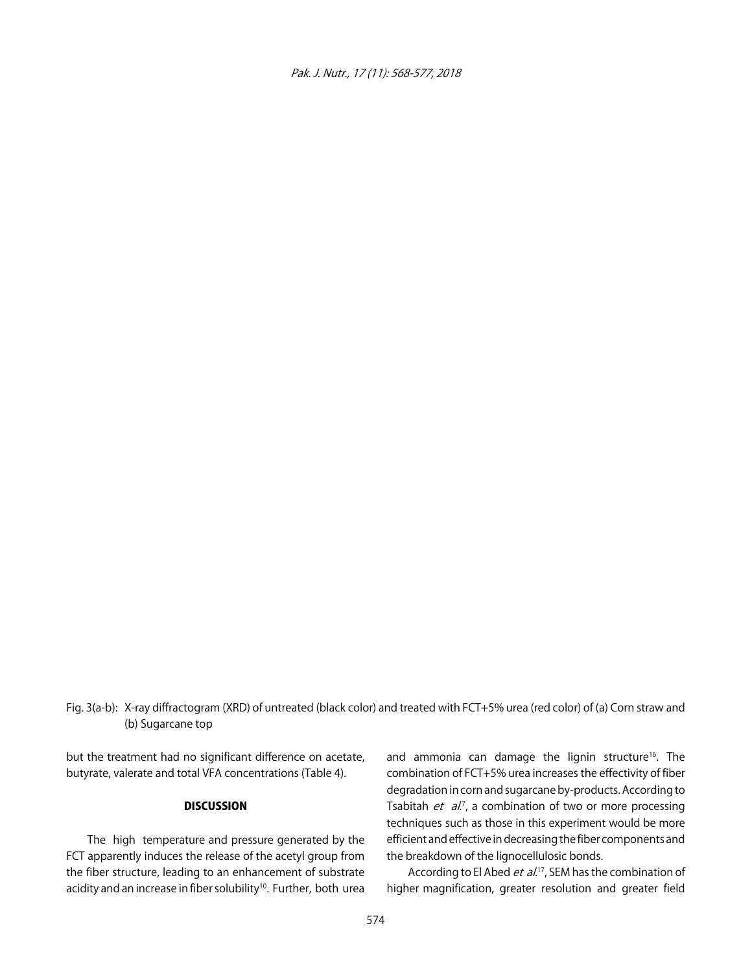Pak. J. Nutr., 17 (11): 568-577, 2018

Fig. 3(a-b): X-ray diffractogram (XRD) of untreated (black color) and treated with FCT+5% urea (red color) of (a) Corn straw and (b) Sugarcane top

but the treatment had no significant difference on acetate, butyrate, valerate and total VFA concentrations (Table 4).

#### **DISCUSSION**

The high temperature and pressure generated by the FCT apparently induces the release of the acetyl group from the fiber structure, leading to an enhancement of substrate acidity and an increase in fiber solubility<sup>10</sup>. Further, both urea and ammonia can damage the lignin structure<sup>16</sup>. The combination of FCT+5% urea increases the effectivity of fiber degradation in corn and sugarcane by-products. According to Tsabitah et al.<sup>7</sup>, a combination of two or more processing techniques such as those in this experiment would be more efficient and effective in decreasing the fiber components and the breakdown of the lignocellulosic bonds.

According to El Abed *et al*.<sup>17</sup>, SEM has the combination of higher magnification, greater resolution and greater field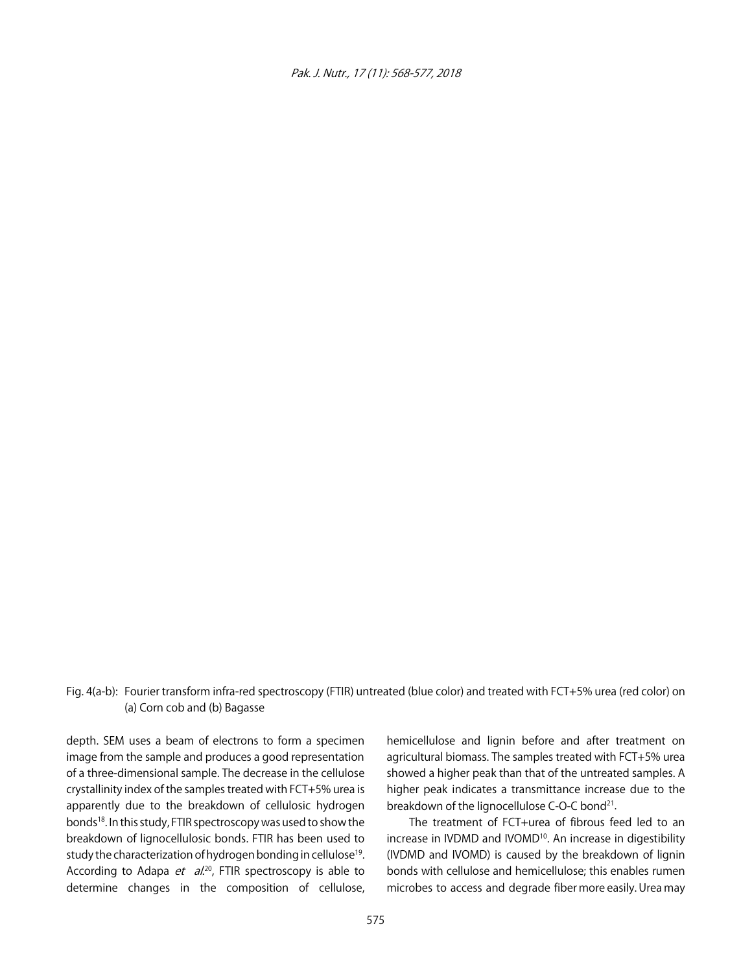Pak. J. Nutr., 17 (11): 568-577, 2018

# Fig. 4(a-b): Fourier transform infra-red spectroscopy (FTIR) untreated (blue color) and treated with FCT+5% urea (red color) on (a) Corn cob and (b) Bagasse

depth. SEM uses a beam of electrons to form a specimen image from the sample and produces a good representation of a three-dimensional sample. The decrease in the cellulose crystallinity index of the samples treated with FCT+5% urea is apparently due to the breakdown of cellulosic hydrogen bonds<sup>18</sup>. In this study, FTIR spectroscopy was used to show the breakdown of lignocellulosic bonds. FTIR has been used to study the characterization of hydrogen bonding in cellulose<sup>19</sup>. According to Adapa *et al.*<sup>20</sup>, FTIR spectroscopy is able to determine changes in the composition of cellulose,

hemicellulose and lignin before and after treatment on agricultural biomass. The samples treated with FCT+5% urea showed a higher peak than that of the untreated samples. A higher peak indicates a transmittance increase due to the breakdown of the lignocellulose C-O-C bond<sup>21</sup>.

The treatment of FCT+urea of fibrous feed led to an increase in IVDMD and IVOMD<sup>10</sup>. An increase in digestibility (IVDMD and IVOMD) is caused by the breakdown of lignin bonds with cellulose and hemicellulose; this enables rumen microbes to access and degrade fiber more easily. Urea may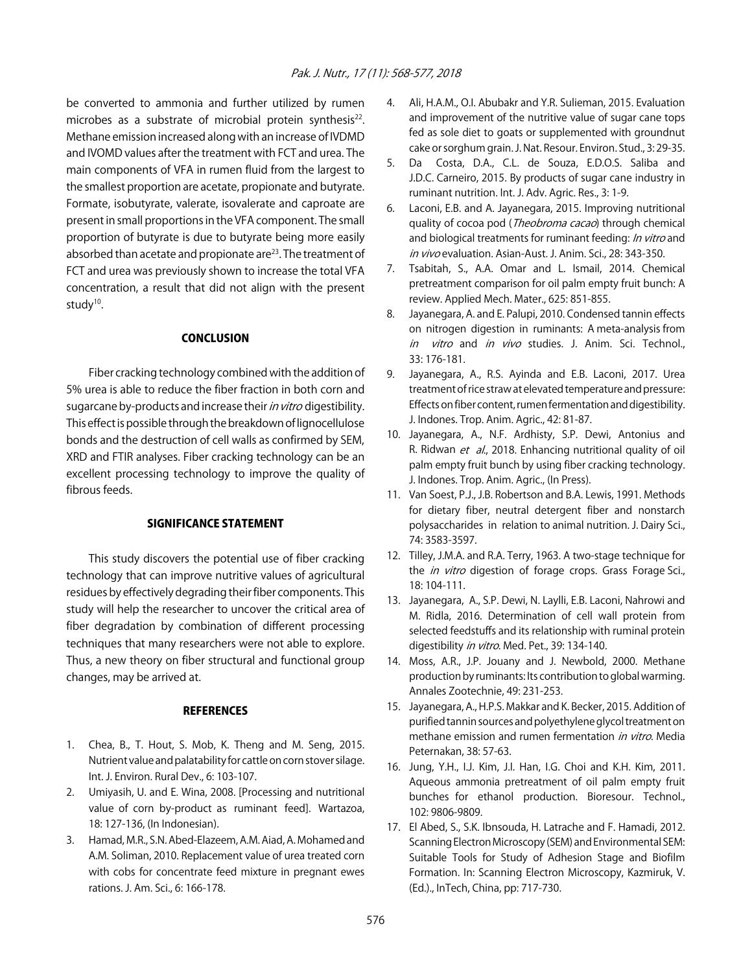be converted to ammonia and further utilized by rumen microbes as a substrate of microbial protein synthesis<sup>22</sup>. Methane emission increased along with an increase of IVDMD and IVOMD values after the treatment with FCT and urea. The main components of VFA in rumen fluid from the largest to the smallest proportion are acetate, propionate and butyrate. Formate, isobutyrate, valerate, isovalerate and caproate are present in small proportions in the VFA component. The small proportion of butyrate is due to butyrate being more easily absorbed than acetate and propionate are<sup>23</sup>. The treatment of FCT and urea was previously shown to increase the total VFA concentration, a result that did not align with the present study<sup>10</sup>.

### **CONCLUSION**

Fiber cracking technology combined with the addition of 5% urea is able to reduce the fiber fraction in both corn and sugarcane by-products and increase their *in vitro* digestibility. This effect is possible through the breakdown of lignocellulose bonds and the destruction of cell walls as confirmed by SEM, XRD and FTIR analyses. Fiber cracking technology can be an excellent processing technology to improve the quality of fibrous feeds.

### SIGNIFICANCE STATEMENT

This study discovers the potential use of fiber cracking technology that can improve nutritive values of agricultural residues by effectively degrading their fiber components. This study will help the researcher to uncover the critical area of fiber degradation by combination of different processing techniques that many researchers were not able to explore. Thus, a new theory on fiber structural and functional group changes, may be arrived at.

### **REFERENCES**

- 1. Chea, B., T. Hout, S. Mob, K. Theng and M. Seng, 2015. Nutrient value and palatability for cattle on corn stover silage. Int. J. Environ. Rural Dev., 6: 103-107.
- 2. Umiyasih, U. and E. Wina, 2008. [Processing and nutritional value of corn by-product as ruminant feed]. Wartazoa, 18: 127-136, (In Indonesian).
- 3. Hamad, M.R., S.N. Abed-Elazeem, A.M. Aiad, A. Mohamed and A.M. Soliman, 2010. Replacement value of urea treated corn with cobs for concentrate feed mixture in pregnant ewes rations. J. Am. Sci., 6: 166-178.
- 4. Ali, H.A.M., O.I. Abubakr and Y.R. Sulieman, 2015. Evaluation and improvement of the nutritive value of sugar cane tops fed as sole diet to goats or supplemented with groundnut cake or sorghum grain. J. Nat. Resour. Environ. Stud., 3: 29-35.
- 5. Da Costa, D.A., C.L. de Souza, E.D.O.S. Saliba and J.D.C. Carneiro, 2015. By products of sugar cane industry in ruminant nutrition. Int. J. Adv. Agric. Res., 3: 1-9.
- 6. Laconi, E.B. and A. Jayanegara, 2015. Improving nutritional quality of cocoa pod (*Theobroma cacao*) through chemical and biological treatments for ruminant feeding: In vitro and in vivo evaluation. Asian-Aust. J. Anim. Sci., 28: 343-350.
- 7. Tsabitah, S., A.A. Omar and L. Ismail, 2014. Chemical pretreatment comparison for oil palm empty fruit bunch: A review. Applied Mech. Mater., 625: 851-855.
- 8. Jayanegara, A. and E. Palupi, 2010. Condensed tannin effects on nitrogen digestion in ruminants: A meta-analysis from in vitro and in vivo studies. J. Anim. Sci. Technol., 33: 176-181.
- 9. Jayanegara, A., R.S. Ayinda and E.B. Laconi, 2017. Urea treatment of rice straw at elevated temperature and pressure: Effects on fiber content, rumen fermentation and digestibility. J. Indones. Trop. Anim. Agric., 42: 81-87.
- 10. Jayanegara, A., N.F. Ardhisty, S.P. Dewi, Antonius and R. Ridwan et al., 2018. Enhancing nutritional quality of oil palm empty fruit bunch by using fiber cracking technology. J. Indones. Trop. Anim. Agric., (In Press).
- 11. Van Soest, P.J., J.B. Robertson and B.A. Lewis, 1991. Methods for dietary fiber, neutral detergent fiber and nonstarch polysaccharides in relation to animal nutrition. J. Dairy Sci., 74: 3583-3597.
- 12. Tilley, J.M.A. and R.A. Terry, 1963. A two-stage technique for the *in vitro* digestion of forage crops. Grass Forage Sci., 18: 104-111.
- 13. Jayanegara, A., S.P. Dewi, N. Laylli, E.B. Laconi, Nahrowi and M. Ridla, 2016. Determination of cell wall protein from selected feedstuffs and its relationship with ruminal protein digestibility in vitro. Med. Pet., 39: 134-140.
- 14. Moss, A.R., J.P. Jouany and J. Newbold, 2000. Methane production by ruminants: Its contribution to global warming. Annales Zootechnie, 49: 231-253.
- 15. Jayanegara, A., H.P.S. Makkar and K. Becker, 2015. Addition of purified tannin sources and polyethylene glycol treatment on methane emission and rumen fermentation in vitro. Media Peternakan, 38: 57-63.
- 16. Jung, Y.H., I.J. Kim, J.I. Han, I.G. Choi and K.H. Kim, 2011. Aqueous ammonia pretreatment of oil palm empty fruit bunches for ethanol production. Bioresour. Technol., 102: 9806-9809.
- 17. El Abed, S., S.K. Ibnsouda, H. Latrache and F. Hamadi, 2012. Scanning Electron Microscopy (SEM) and Environmental SEM: Suitable Tools for Study of Adhesion Stage and Biofilm Formation. In: Scanning Electron Microscopy, Kazmiruk, V. (Ed.)., InTech, China, pp: 717-730.